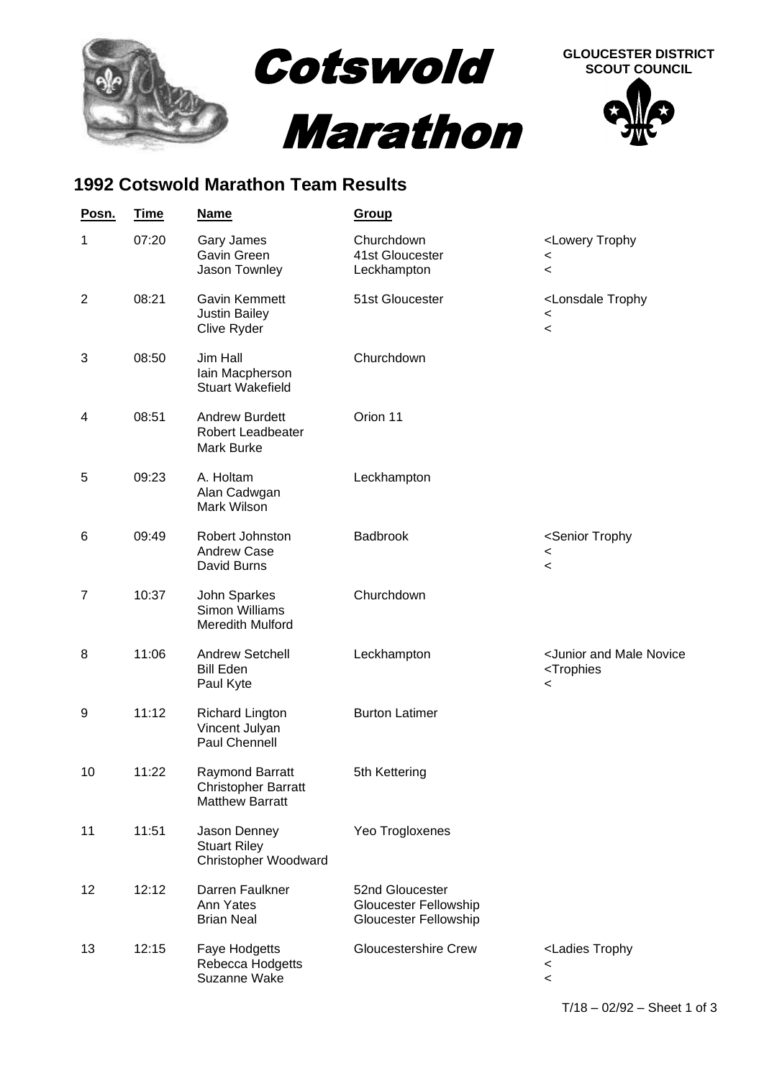

## **1992 Cotswold Marathon Team Results**

| Posn.          | <u>Time</u> | <b>Name</b>                                                                    | <b>Group</b>                                                      |                                                                                               |
|----------------|-------------|--------------------------------------------------------------------------------|-------------------------------------------------------------------|-----------------------------------------------------------------------------------------------|
| 1              | 07:20       | <b>Gary James</b><br>Gavin Green<br>Jason Townley                              | Churchdown<br>41st Gloucester<br>Leckhampton                      | <lowery trophy<br=""><math>\,&lt;\,</math><br/><math>\,&lt;\,</math></lowery>                 |
| $\overline{2}$ | 08:21       | Gavin Kemmett<br><b>Justin Bailey</b><br>Clive Ryder                           | 51st Gloucester                                                   | <lonsdale trophy<br=""><math>\,&lt;\,</math><br/><math>\,&lt;\,</math></lonsdale>             |
| 3              | 08:50       | Jim Hall<br>Iain Macpherson<br><b>Stuart Wakefield</b>                         | Churchdown                                                        |                                                                                               |
| 4              | 08:51       | <b>Andrew Burdett</b><br>Robert Leadbeater<br>Mark Burke                       | Orion 11                                                          |                                                                                               |
| 5              | 09:23       | A. Holtam<br>Alan Cadwgan<br>Mark Wilson                                       | Leckhampton                                                       |                                                                                               |
| 6              | 09:49       | Robert Johnston<br><b>Andrew Case</b><br>David Burns                           | Badbrook                                                          | <senior trophy<br=""><math>\,&lt;\,</math><br/><math>\,&lt;\,</math></senior>                 |
| $\overline{7}$ | 10:37       | John Sparkes<br><b>Simon Williams</b><br>Meredith Mulford                      | Churchdown                                                        |                                                                                               |
| 8              | 11:06       | <b>Andrew Setchell</b><br><b>Bill Eden</b><br>Paul Kyte                        | Leckhampton                                                       | <junior and="" male="" novice<br=""><trophies<br><math>\,&lt;\,</math></trophies<br></junior> |
| 9              | 11:12       | <b>Richard Lington</b><br>Vincent Julyan<br>Paul Chennell                      | <b>Burton Latimer</b>                                             |                                                                                               |
| 10             | 11:22       | <b>Raymond Barratt</b><br><b>Christopher Barratt</b><br><b>Matthew Barratt</b> | 5th Kettering                                                     |                                                                                               |
| 11             | 11:51       | Jason Denney<br><b>Stuart Riley</b><br>Christopher Woodward                    | Yeo Trogloxenes                                                   |                                                                                               |
| 12             | 12:12       | Darren Faulkner<br>Ann Yates<br><b>Brian Neal</b>                              | 52nd Gloucester<br>Gloucester Fellowship<br>Gloucester Fellowship |                                                                                               |
| 13             | 12:15       | Faye Hodgetts<br>Rebecca Hodgetts<br>Suzanne Wake                              | <b>Gloucestershire Crew</b>                                       | <ladies trophy<br=""><math>\,&lt;\,</math><br/><math>\,&lt;\,</math></ladies>                 |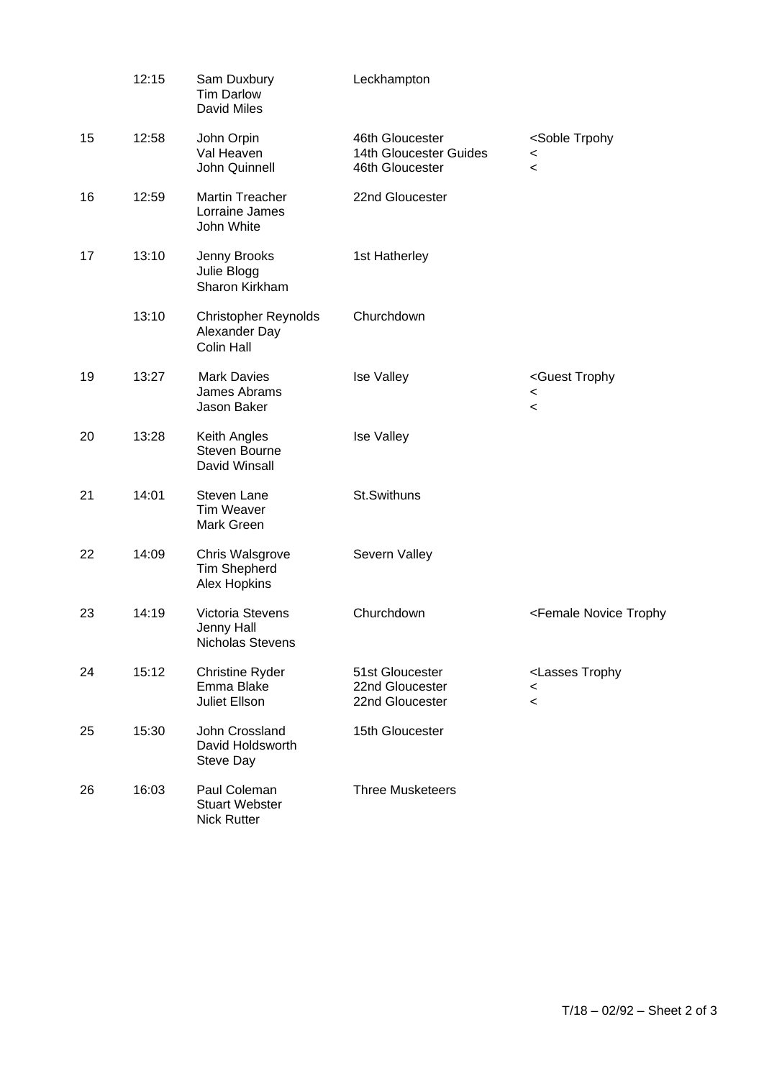|    | 12:15 | Sam Duxbury<br><b>Tim Darlow</b><br><b>David Miles</b>      | Leckhampton                                                  |                                                                             |
|----|-------|-------------------------------------------------------------|--------------------------------------------------------------|-----------------------------------------------------------------------------|
| 15 | 12:58 | John Orpin<br>Val Heaven<br>John Quinnell                   | 46th Gloucester<br>14th Gloucester Guides<br>46th Gloucester | <soble trpohy<br="">&lt;<br/><math>\,&lt;\,</math></soble>                  |
| 16 | 12:59 | <b>Martin Treacher</b><br>Lorraine James<br>John White      | 22nd Gloucester                                              |                                                                             |
| 17 | 13:10 | Jenny Brooks<br>Julie Blogg<br>Sharon Kirkham               | 1st Hatherley                                                |                                                                             |
|    | 13:10 | <b>Christopher Reynolds</b><br>Alexander Day<br>Colin Hall  | Churchdown                                                   |                                                                             |
| 19 | 13:27 | <b>Mark Davies</b><br>James Abrams<br>Jason Baker           | <b>Ise Valley</b>                                            | <guest trophy<br="">&lt;<br/><math>\,&lt;</math></guest>                    |
| 20 | 13:28 | Keith Angles<br>Steven Bourne<br>David Winsall              | Ise Valley                                                   |                                                                             |
| 21 | 14:01 | Steven Lane<br><b>Tim Weaver</b><br>Mark Green              | St.Swithuns                                                  |                                                                             |
| 22 | 14:09 | Chris Walsgrove<br><b>Tim Shepherd</b><br>Alex Hopkins      | Severn Valley                                                |                                                                             |
| 23 | 14:19 | Victoria Stevens<br>Jenny Hall<br>Nicholas Stevens          | Churchdown                                                   | <female novice="" td="" trophy<=""></female>                                |
| 24 | 15:12 | <b>Christine Ryder</b><br>Emma Blake<br>Juliet Ellson       | 51st Gloucester<br>22nd Gloucester<br>22nd Gloucester        | <lasses trophy<br=""><math>\,&lt;</math><br/><math>\,&lt;\,</math></lasses> |
| 25 | 15:30 | John Crossland<br>David Holdsworth<br><b>Steve Day</b>      | 15th Gloucester                                              |                                                                             |
| 26 | 16:03 | Paul Coleman<br><b>Stuart Webster</b><br><b>Nick Rutter</b> | <b>Three Musketeers</b>                                      |                                                                             |